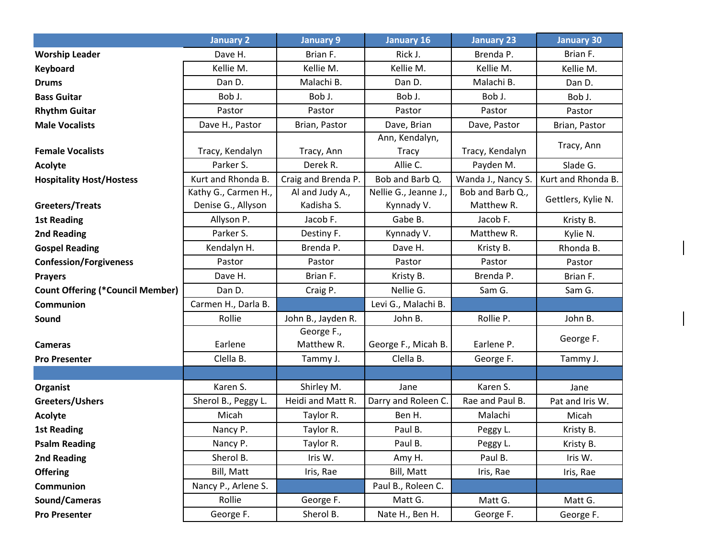|                                         | <b>January 2</b>     | <b>January 9</b>         | <b>January 16</b>              | <b>January 23</b>  | <b>January 30</b>  |
|-----------------------------------------|----------------------|--------------------------|--------------------------------|--------------------|--------------------|
| <b>Worship Leader</b>                   | Dave H.              | Brian F.                 | Rick J.                        | Brenda P.          | Brian F.           |
| <b>Keyboard</b>                         | Kellie M.            | Kellie M.                | Kellie M.                      | Kellie M.          | Kellie M.          |
| <b>Drums</b>                            | Dan D.               | Malachi B.               | Dan D.                         | Malachi B.         | Dan D.             |
| <b>Bass Guitar</b>                      | Bob J.               | Bob J.                   | Bob J.                         | Bob J.             | Bob J.             |
| <b>Rhythm Guitar</b>                    | Pastor               | Pastor                   | Pastor                         | Pastor             | Pastor             |
| <b>Male Vocalists</b>                   | Dave H., Pastor      | Brian, Pastor            | Dave, Brian                    | Dave, Pastor       | Brian, Pastor      |
| <b>Female Vocalists</b>                 | Tracy, Kendalyn      | Tracy, Ann               | Ann, Kendalyn,<br><b>Tracy</b> | Tracy, Kendalyn    | Tracy, Ann         |
| Acolyte                                 | Parker S.            | Derek R.                 | Allie C.                       | Payden M.          | Slade G.           |
| <b>Hospitality Host/Hostess</b>         | Kurt and Rhonda B.   | Craig and Brenda P.      | Bob and Barb Q.                | Wanda J., Nancy S. | Kurt and Rhonda B. |
|                                         | Kathy G., Carmen H., | Al and Judy A.,          | Nellie G., Jeanne J.,          | Bob and Barb Q.,   |                    |
| Greeters/Treats                         | Denise G., Allyson   | Kadisha S.               | Kynnady V.                     | Matthew R.         | Gettlers, Kylie N. |
| <b>1st Reading</b>                      | Allyson P.           | Jacob F.                 | Gabe B.                        | Jacob F.           | Kristy B.          |
| 2nd Reading                             | Parker S.            | Destiny F.               | Kynnady V.                     | Matthew R.         | Kylie N.           |
| <b>Gospel Reading</b>                   | Kendalyn H.          | Brenda P.                | Dave H.                        | Kristy B.          | Rhonda B.          |
| <b>Confession/Forgiveness</b>           | Pastor               | Pastor                   | Pastor                         | Pastor             | Pastor             |
| <b>Prayers</b>                          | Dave H.              | Brian F.                 | Kristy B.                      | Brenda P.          | Brian F.           |
| <b>Count Offering (*Council Member)</b> | Dan D.               | Craig P.                 | Nellie G.                      | Sam G.             | Sam G.             |
| Communion                               | Carmen H., Darla B.  |                          | Levi G., Malachi B.            |                    |                    |
| Sound                                   | Rollie               | John B., Jayden R.       | John B.                        | Rollie P.          | John B.            |
| <b>Cameras</b>                          | Earlene              | George F.,<br>Matthew R. | George F., Micah B.            | Earlene P.         | George F.          |
| <b>Pro Presenter</b>                    | Clella B.            | Tammy J.                 | Clella B.                      | George F.          | Tammy J.           |
|                                         |                      |                          |                                |                    |                    |
| Organist                                | Karen S.             | Shirley M.               | Jane                           | Karen S.           | Jane               |
| Greeters/Ushers                         | Sherol B., Peggy L.  | Heidi and Matt R.        | Darry and Roleen C.            | Rae and Paul B.    | Pat and Iris W.    |
| Acolyte                                 | Micah                | Taylor R.                | Ben H.                         | Malachi            | Micah              |
| <b>1st Reading</b>                      | Nancy P.             | Taylor R.                | Paul B.                        | Peggy L.           | Kristy B.          |
| <b>Psalm Reading</b>                    | Nancy P.             | Taylor R.                | Paul B.                        | Peggy L.           | Kristy B.          |
| 2nd Reading                             | Sherol B.            | Iris W.                  | Amy H.                         | Paul B.            | Iris W.            |
| <b>Offering</b>                         | Bill, Matt           | Iris, Rae                | Bill, Matt                     | Iris, Rae          | Iris, Rae          |
| <b>Communion</b>                        | Nancy P., Arlene S.  |                          | Paul B., Roleen C.             |                    |                    |
| Sound/Cameras                           | Rollie               | George F.                | Matt G.                        | Matt G.            | Matt G.            |
| <b>Pro Presenter</b>                    | George F.            | Sherol B.                | Nate H., Ben H.                | George F.          | George F.          |